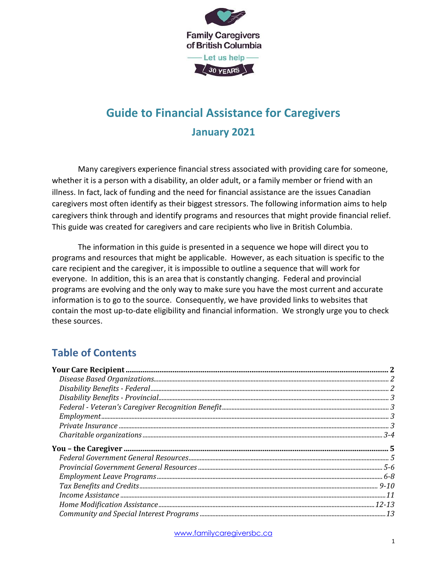

# **Guide to Financial Assistance for Caregivers January 2021**

Many caregivers experience financial stress associated with providing care for someone, whether it is a person with a disability, an older adult, or a family member or friend with an illness. In fact, lack of funding and the need for financial assistance are the issues Canadian caregivers most often identify as their biggest stressors. The following information aims to help caregivers think through and identify programs and resources that might provide financial relief. This guide was created for caregivers and care recipients who live in British Columbia.

The information in this guide is presented in a sequence we hope will direct you to programs and resources that might be applicable. However, as each situation is specific to the care recipient and the caregiver, it is impossible to outline a sequence that will work for everyone. In addition, this is an area that is constantly changing. Federal and provincial programs are evolving and the only way to make sure you have the most current and accurate information is to go to the source. Consequently, we have provided links to websites that contain the most up-to-date eligibility and financial information. We strongly urge you to check these sources.

# **Table of Contents**

| $\begin{tabular}{l} \textbf{Your Care Recipient} \textbf{} \textbf{} \textbf{} \textbf{} \textbf{} \textbf{} \textbf{} \textbf{} \textbf{} \textbf{} \textbf{} \textbf{} \textbf{} \textbf{} \textbf{} \textbf{} \textbf{} \textbf{} \textbf{} \textbf{} \textbf{} \textbf{} \textbf{} \textbf{} \textbf{} \textbf{} \textbf{} \textbf{} \textbf{} \textbf{} \textbf{} \textbf{} \textbf{} \textbf{$ |  |
|------------------------------------------------------------------------------------------------------------------------------------------------------------------------------------------------------------------------------------------------------------------------------------------------------------------------------------------------------------------------------------------------------|--|
|                                                                                                                                                                                                                                                                                                                                                                                                      |  |
|                                                                                                                                                                                                                                                                                                                                                                                                      |  |
|                                                                                                                                                                                                                                                                                                                                                                                                      |  |
|                                                                                                                                                                                                                                                                                                                                                                                                      |  |
|                                                                                                                                                                                                                                                                                                                                                                                                      |  |
|                                                                                                                                                                                                                                                                                                                                                                                                      |  |
|                                                                                                                                                                                                                                                                                                                                                                                                      |  |
|                                                                                                                                                                                                                                                                                                                                                                                                      |  |
|                                                                                                                                                                                                                                                                                                                                                                                                      |  |
|                                                                                                                                                                                                                                                                                                                                                                                                      |  |
|                                                                                                                                                                                                                                                                                                                                                                                                      |  |
|                                                                                                                                                                                                                                                                                                                                                                                                      |  |
|                                                                                                                                                                                                                                                                                                                                                                                                      |  |
|                                                                                                                                                                                                                                                                                                                                                                                                      |  |
|                                                                                                                                                                                                                                                                                                                                                                                                      |  |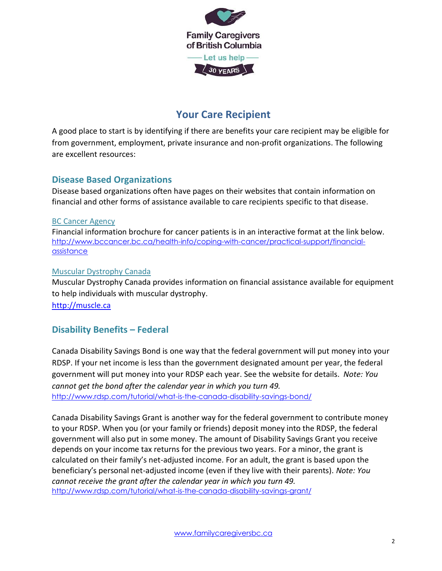

# **Your Care Recipient**

<span id="page-1-0"></span>A good place to start is by identifying if there are benefits your care recipient may be eligible for from government, employment, private insurance and non-profit organizations. The following are excellent resources:

### <span id="page-1-1"></span>**Disease Based Organizations**

Disease based organizations often have pages on their websites that contain information on financial and other forms of assistance available to care recipients specific to that disease.

#### BC Cancer Agency

[Financial information](http://www.bccancer.bc.ca/coping-and-support-site/Documents/BC_Cancer_financial_brochure_2017_web.pdf) brochure for cancer patients is in an interactive format at the link below. http://www.bccancer.bc.ca/health-info/coping-with-cancer/practical-support/financialassistance

#### Muscular Dystrophy Canada

Muscular Dystrophy Canada provides information on financial assistance available for equipment to help individuals with muscular dystrophy.

[http://muscle.ca](http://muscle.ca/)

## <span id="page-1-2"></span>**Disability Benefits – Federal**

Canada Disability Savings Bond is one way that the federal government will put money into your RDSP. If your net income is less than the government designated amount per year, the federal government will put money into your RDSP each year. See the website for details. *Note: You cannot get the bond after the calendar year in which you turn 49.* <http://www.rdsp.com/tutorial/what-is-the-canada-disability-savings-bond/>

Canada Disability Savings Grant is another way for the federal government to contribute money to your RDSP. When you (or your family or friends) deposit money into the RDSP, the federal government will also put in some money. The amount of Disability Savings Grant you receive depends on your income tax returns for the previous two years. For a minor, the grant is calculated on their family's net-adjusted income. For an adult, the grant is based upon the beneficiary's personal net-adjusted income (even if they live with their parents). *Note: You cannot receive the grant after the calendar year in which you turn 49.* <http://www.rdsp.com/tutorial/what-is-the-canada-disability-savings-grant/>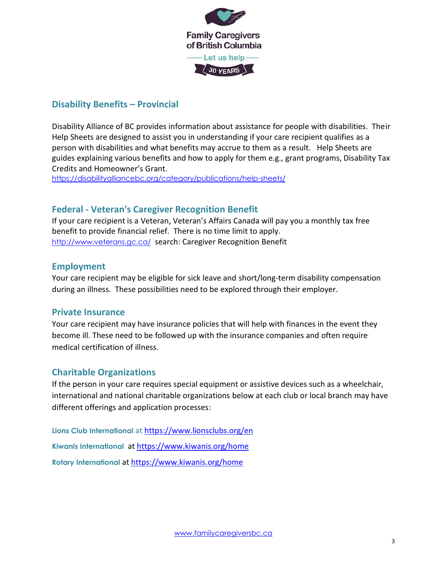

## **Disability Benefits – Provincial**

Disability Alliance of BC provides information about assistance for people with disabilities. Their Help Sheets are designed to assist you in understanding if your care recipient qualifies as a person with disabilities and what benefits may accrue to them as a result. [Help Sheets](http://disabilityalliancebc.org/category/publications/help-sheets/) are guides explaining various benefits and how to apply for them e.g., grant programs, Disability Tax Credits and Homeowner's Grant.

<https://disabilityalliancebc.org/category/publications/help-sheets/>

#### <span id="page-2-0"></span>**Federal - Veteran's Caregiver Recognition Benefit**

If your care recipient is a Veteran, Veteran's Affairs Canada will pay you a monthly tax free benefit to provide financial relief. There is no time limit to apply. <http://www.veterans.gc.ca/>search: Caregiver Recognition Benefit

#### <span id="page-2-1"></span>**Employment**

Your care recipient may be eligible for sick leave and short/long-term disability compensation during an illness. These possibilities need to be explored through their employer.

#### <span id="page-2-2"></span>**Private Insurance**

Your care recipient may have insurance policies that will help with finances in the event they become ill. These need to be followed up with the insurance companies and often require medical certification of illness.

#### <span id="page-2-3"></span>**Charitable Organizations**

If the person in your care requires special equipment or assistive devices such as a wheelchair, international and national charitable organizations below at each club or local branch may have different offerings and application processes:

**[Lions Club International](file:///C:/Users/Jane/Sync/Caregiver%20Support/Projects%20CSL%20+%20Caregiver%20Support/Financial%20Assistance%20Guide%20Nov%202020/Lions%20Club%20International)** at https://www.lionsclubs.org/en **[Kiwanis International](https://www.kiwanis.org/home)** at https://www.kiwanis.org/home **[Rotary International](https://www.rotary.org/en)** at https://www.kiwanis.org/home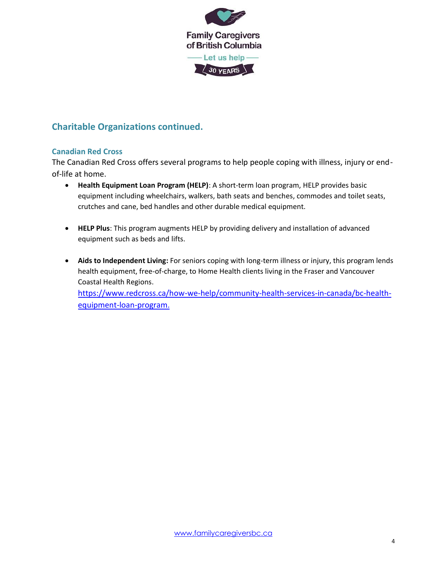

# **Charitable Organizations continued.**

#### **Canadian Red Cross**

The Canadian Red Cross offers several programs to help people coping with illness, injury or endof-life at home.

- **Health Equipment Loan Program (HELP)**: A short-term loan program, HELP provides basic equipment including wheelchairs, walkers, bath seats and benches, commodes and toilet seats, crutches and cane, bed handles and other durable medical equipment.
- **HELP Plus**: This program augments HELP by providing delivery and installation of advanced equipment such as beds and lifts.
- **Aids to Independent Living:** For seniors coping with long-term illness or injury, this program lends health equipment, free-of-charge, to Home Health clients living in the Fraser and Vancouver Coastal Health Regions. [https://www.redcross.ca/how-we-help/community-health-services-in-canada/bc-health](https://www.redcross.ca/how-we-help/community-health-services-in-canada/bc-health-equipment-loan-program)[equipment-loan-program.](https://www.redcross.ca/how-we-help/community-health-services-in-canada/bc-health-equipment-loan-program)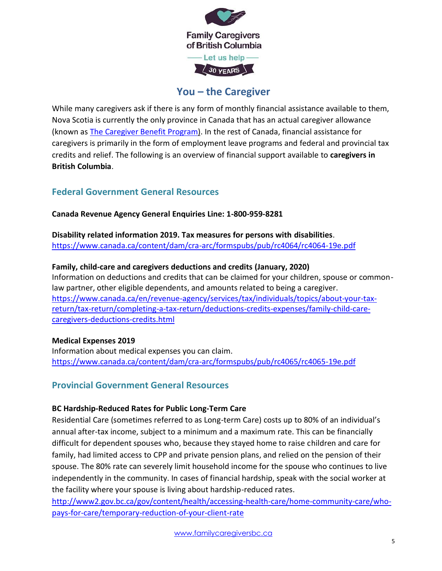

# **You – the Caregiver**

<span id="page-4-0"></span>While many caregivers ask if there is any form of monthly financial assistance available to them, Nova Scotia is currently the only province in Canada that has an actual caregiver allowance (known as [The Caregiver Benefit Program\)](https://novascotia.ca/dhw/ccs/caregiver-benefit.asp). In the rest of Canada, financial assistance for caregivers is primarily in the form of employment leave programs and federal and provincial tax credits and relief. The following is an overview of financial support available to **caregivers in British Columbia**.

#### <span id="page-4-1"></span>**Federal Government General Resources**

**Canada Revenue Agency General Enquiries Line: 1-800-959-8281**

**Disability related information 2019. Tax measures for persons with disabilities**. <https://www.canada.ca/content/dam/cra-arc/formspubs/pub/rc4064/rc4064-19e.pdf>

#### **Family, child-care and caregivers deductions and credits (January, 2020)**

Information on deductions and credits that can be claimed for your children, spouse or commonlaw partner, other eligible dependents, and amounts related to being a caregiver. [https://www.canada.ca/en/revenue-agency/services/tax/individuals/topics/about-your-tax](https://www.canada.ca/en/revenue-agency/services/tax/individuals/topics/about-your-tax-return/tax-return/completing-a-tax-return/deductions-credits-expenses/family-child-care-caregivers-deductions-credits.html)[return/tax-return/completing-a-tax-return/deductions-credits-expenses/family-child-care](https://www.canada.ca/en/revenue-agency/services/tax/individuals/topics/about-your-tax-return/tax-return/completing-a-tax-return/deductions-credits-expenses/family-child-care-caregivers-deductions-credits.html)[caregivers-deductions-credits.html](https://www.canada.ca/en/revenue-agency/services/tax/individuals/topics/about-your-tax-return/tax-return/completing-a-tax-return/deductions-credits-expenses/family-child-care-caregivers-deductions-credits.html)

#### **Medical Expenses 2019**

Information about medical expenses you can claim. <https://www.canada.ca/content/dam/cra-arc/formspubs/pub/rc4065/rc4065-19e.pdf>

#### **Provincial Government General Resources**

#### **BC Hardship-Reduced Rates for Public Long-Term Care**

Residential Care (sometimes referred to as Long-term Care) costs up to 80% of an individual's annual after-tax income, subject to a minimum and a maximum rate. This can be financially difficult for dependent spouses who, because they stayed home to raise children and care for family, had limited access to CPP and private pension plans, and relied on the pension of their spouse. The 80% rate can severely limit household income for the spouse who continues to live independently in the community. In cases of financial hardship, speak with the social worker at the facility where your spouse is living about hardship-reduced rates.

[http://www2.gov.bc.ca/gov/content/health/accessing-health-care/home-community-care/who](http://www2.gov.bc.ca/gov/content/health/accessing-health-care/home-community-care/who-pays-for-care/temporary-reduction-of-your-client-rate)[pays-for-care/temporary-reduction-of-your-client-rate](http://www2.gov.bc.ca/gov/content/health/accessing-health-care/home-community-care/who-pays-for-care/temporary-reduction-of-your-client-rate)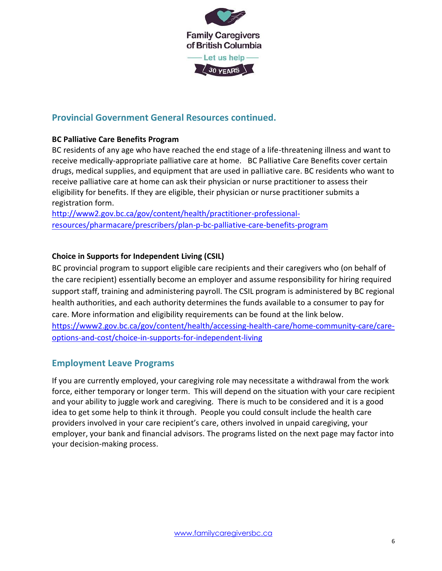

### **Provincial Government General Resources continued.**

#### **BC Palliative Care Benefits Program**

BC residents of any age who have reached the end stage of a life-threatening illness and want to receive medically-appropriate palliative care at home. BC Palliative Care Benefits cover certain drugs, medical supplies, and equipment that are used in palliative care. BC residents who want to receive palliative care at home can ask their physician or nurse practitioner to assess their eligibility for benefits. If they are eligible, their physician or nurse practitioner submits a registration form.

[http://www2.gov.bc.ca/gov/content/health/practitioner-professional](http://www2.gov.bc.ca/gov/content/health/practitioner-professional-resources/pharmacare/prescribers/plan-p-bc-palliative-care-benefits-program)[resources/pharmacare/prescribers/plan-p-bc-palliative-care-benefits-program](http://www2.gov.bc.ca/gov/content/health/practitioner-professional-resources/pharmacare/prescribers/plan-p-bc-palliative-care-benefits-program)

#### **Choice in Supports for Independent Living (CSIL)**

BC provincial program to support eligible care recipients and their caregivers who (on behalf of the care recipient) essentially become an employer and assume responsibility for hiring required support staff, training and administering payroll. The CSIL program is administered by BC regional health authorities, and each authority determines the funds available to a consumer to pay for care. More information and eligibility requirements can be found at the link below. [https://www2.gov.bc.ca/gov/content/health/accessing-health-care/home-community-care/care](https://www2.gov.bc.ca/gov/content/health/accessing-health-care/home-community-care/care-options-and-cost/choice-in-supports-for-independent-living)[options-and-cost/choice-in-supports-for-independent-living](https://www2.gov.bc.ca/gov/content/health/accessing-health-care/home-community-care/care-options-and-cost/choice-in-supports-for-independent-living)

#### <span id="page-5-0"></span>**Employment Leave Programs**

If you are currently employed, your caregiving role may necessitate a withdrawal from the work force, either temporary or longer term. This will depend on the situation with your care recipient and your ability to juggle work and caregiving. There is much to be considered and it is a good idea to get some help to think it through. People you could consult include the health care providers involved in your care recipient's care, others involved in unpaid caregiving, your employer, your bank and financial advisors. The programs listed on the next page may factor into your decision-making process.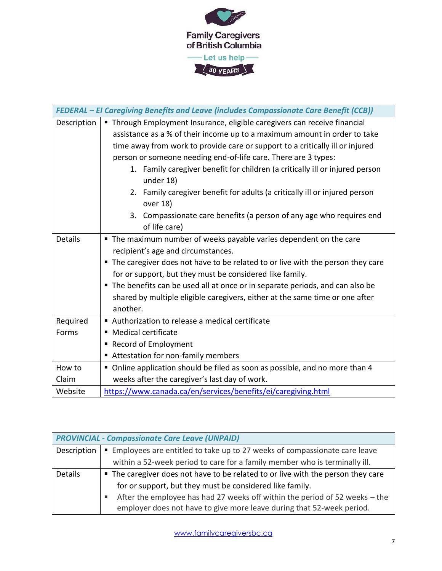

|                | FEDERAL - EI Caregiving Benefits and Leave (includes Compassionate Care Benefit (CCB))    |
|----------------|-------------------------------------------------------------------------------------------|
| Description    | Through Employment Insurance, eligible caregivers can receive financial                   |
|                | assistance as a % of their income up to a maximum amount in order to take                 |
|                | time away from work to provide care or support to a critically ill or injured             |
|                | person or someone needing end-of-life care. There are 3 types:                            |
|                | 1. Family caregiver benefit for children (a critically ill or injured person<br>under 18) |
|                | 2. Family caregiver benefit for adults (a critically ill or injured person<br>over 18)    |
|                | 3. Compassionate care benefits (a person of any age who requires end<br>of life care)     |
| <b>Details</b> | The maximum number of weeks payable varies dependent on the care                          |
|                | recipient's age and circumstances.                                                        |
|                | The caregiver does not have to be related to or live with the person they care<br>п       |
|                | for or support, but they must be considered like family.                                  |
|                | The benefits can be used all at once or in separate periods, and can also be              |
|                | shared by multiple eligible caregivers, either at the same time or one after              |
|                | another.                                                                                  |
| Required       | Authorization to release a medical certificate                                            |
| Forms          | <b>Medical certificate</b><br>п                                                           |
|                | <b>Record of Employment</b><br>ш                                                          |
|                | Attestation for non-family members<br>п                                                   |
| How to         | • Online application should be filed as soon as possible, and no more than 4              |
| Claim          | weeks after the caregiver's last day of work.                                             |
| Website        | https://www.canada.ca/en/services/benefits/ei/caregiving.html                             |

| <b>PROVINCIAL - Compassionate Care Leave (UNPAID)</b> |                                                                                  |
|-------------------------------------------------------|----------------------------------------------------------------------------------|
| Description                                           | Employees are entitled to take up to 27 weeks of compassionate care leave        |
|                                                       | within a 52-week period to care for a family member who is terminally ill.       |
| Details                                               | • The caregiver does not have to be related to or live with the person they care |
|                                                       | for or support, but they must be considered like family.                         |
|                                                       | After the employee has had 27 weeks off within the period of 52 weeks - the<br>д |
|                                                       | employer does not have to give more leave during that 52-week period.            |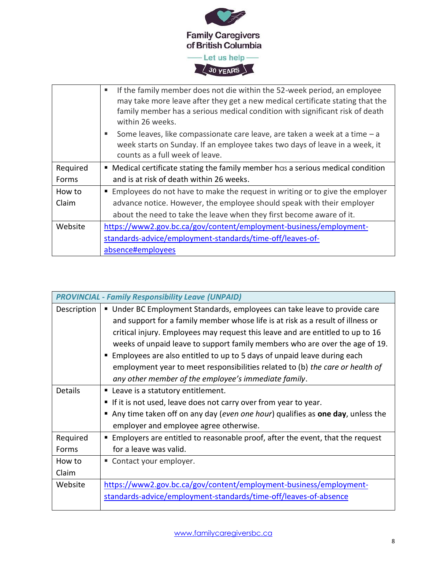

|          | If the family member does not die within the 52-week period, an employee<br>may take more leave after they get a new medical certificate stating that the<br>family member has a serious medical condition with significant risk of death<br>within 26 weeks. |
|----------|---------------------------------------------------------------------------------------------------------------------------------------------------------------------------------------------------------------------------------------------------------------|
|          | Some leaves, like compassionate care leave, are taken a week at a time - a<br>п.<br>week starts on Sunday. If an employee takes two days of leave in a week, it<br>counts as a full week of leave.                                                            |
| Required | • Medical certificate stating the family member has a serious medical condition                                                                                                                                                                               |
| Forms    | and is at risk of death within 26 weeks.                                                                                                                                                                                                                      |
| How to   | Employees do not have to make the request in writing or to give the employer                                                                                                                                                                                  |
| Claim    | advance notice. However, the employee should speak with their employer                                                                                                                                                                                        |
|          | about the need to take the leave when they first become aware of it.                                                                                                                                                                                          |
| Website  | https://www2.gov.bc.ca/gov/content/employment-business/employment-                                                                                                                                                                                            |
|          | standards-advice/employment-standards/time-off/leaves-of-                                                                                                                                                                                                     |
|          | absence#employees                                                                                                                                                                                                                                             |

|                | <b>PROVINCIAL - Family Responsibility Leave (UNPAID)</b>                        |
|----------------|---------------------------------------------------------------------------------|
| Description    | ■ Under BC Employment Standards, employees can take leave to provide care       |
|                | and support for a family member whose life is at risk as a result of illness or |
|                | critical injury. Employees may request this leave and are entitled to up to 16  |
|                | weeks of unpaid leave to support family members who are over the age of 19.     |
|                | Employees are also entitled to up to 5 days of unpaid leave during each         |
|                | employment year to meet responsibilities related to (b) the care or health of   |
|                | any other member of the employee's immediate family.                            |
| <b>Details</b> | • Leave is a statutory entitlement.                                             |
|                | If it is not used, leave does not carry over from year to year.<br>ш            |
|                | Any time taken off on any day (even one hour) qualifies as one day, unless the  |
|                | employer and employee agree otherwise.                                          |
| Required       | Employers are entitled to reasonable proof, after the event, that the request   |
| Forms          | for a leave was valid.                                                          |
| How to         | ■ Contact your employer.                                                        |
| Claim          |                                                                                 |
| Website        | https://www2.gov.bc.ca/gov/content/employment-business/employment-              |
|                | standards-advice/employment-standards/time-off/leaves-of-absence                |
|                |                                                                                 |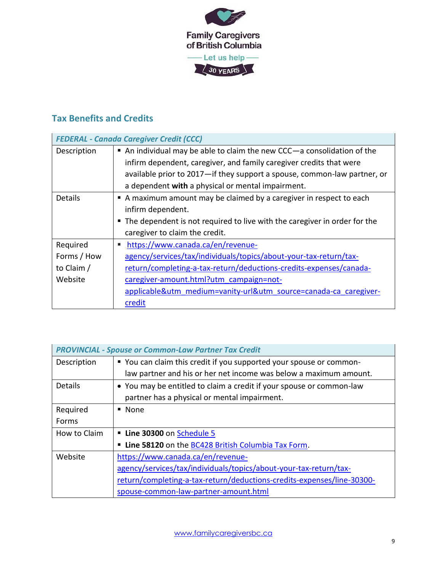

# <span id="page-8-0"></span>**Tax Benefits and Credits**

|                | <b>FEDERAL - Canada Caregiver Credit (CCC)</b>                              |
|----------------|-----------------------------------------------------------------------------|
| Description    | An individual may be able to claim the new CCC-a consolidation of the       |
|                | infirm dependent, caregiver, and family caregiver credits that were         |
|                | available prior to 2017—if they support a spouse, common-law partner, or    |
|                | a dependent with a physical or mental impairment.                           |
| <b>Details</b> | A maximum amount may be claimed by a caregiver in respect to each           |
|                | infirm dependent.                                                           |
|                | • The dependent is not required to live with the caregiver in order for the |
|                | caregiver to claim the credit.                                              |
| Required       | https://www.canada.ca/en/revenue-<br>٠                                      |
| Forms / How    | agency/services/tax/individuals/topics/about-your-tax-return/tax-           |
| to Claim /     | return/completing-a-tax-return/deductions-credits-expenses/canada-          |
| Website        | caregiver-amount.html?utm_campaign=not-                                     |
|                | applicable&utm_medium=vanity-url&utm_source=canada-ca_caregiver-            |
|                | credit                                                                      |

|                | <b>PROVINCIAL - Spouse or Common-Law Partner Tax Credit</b>            |  |
|----------------|------------------------------------------------------------------------|--|
| Description    | " You can claim this credit if you supported your spouse or common-    |  |
|                | law partner and his or her net income was below a maximum amount.      |  |
| <b>Details</b> | • You may be entitled to claim a credit if your spouse or common-law   |  |
|                | partner has a physical or mental impairment.                           |  |
| Required       | $\blacksquare$ None                                                    |  |
| Forms          |                                                                        |  |
| How to Claim   | Line 30300 on Schedule 5                                               |  |
|                | Line 58120 on the BC428 British Columbia Tax Form.                     |  |
| Website        | https://www.canada.ca/en/revenue-                                      |  |
|                | agency/services/tax/individuals/topics/about-your-tax-return/tax-      |  |
|                | return/completing-a-tax-return/deductions-credits-expenses/line-30300- |  |
|                | spouse-common-law-partner-amount.html                                  |  |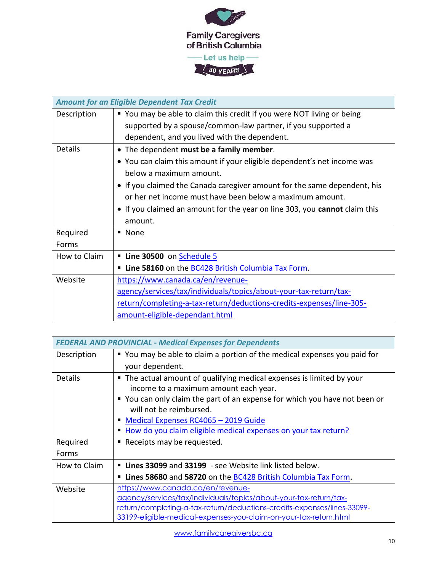

| <b>Amount for an Eligible Dependent Tax Credit</b> |                                                                            |
|----------------------------------------------------|----------------------------------------------------------------------------|
| Description                                        | " You may be able to claim this credit if you were NOT living or being     |
|                                                    | supported by a spouse/common-law partner, if you supported a               |
|                                                    | dependent, and you lived with the dependent.                               |
| <b>Details</b>                                     | • The dependent must be a family member.                                   |
|                                                    | • You can claim this amount if your eligible dependent's net income was    |
|                                                    | below a maximum amount.                                                    |
|                                                    | • If you claimed the Canada caregiver amount for the same dependent, his   |
|                                                    | or her net income must have been below a maximum amount.                   |
|                                                    | • If you claimed an amount for the year on line 303, you cannot claim this |
|                                                    | amount.                                                                    |
| Required                                           | ■ None                                                                     |
| Forms                                              |                                                                            |
| How to Claim                                       | Line 30500 on Schedule 5                                                   |
|                                                    | Line 58160 on the BC428 British Columbia Tax Form.                         |
| Website                                            | https://www.canada.ca/en/revenue-                                          |
|                                                    | agency/services/tax/individuals/topics/about-your-tax-return/tax-          |
|                                                    | return/completing-a-tax-return/deductions-credits-expenses/line-305-       |
|                                                    | amount-eligible-dependant.html                                             |

| <b>FEDERAL AND PROVINCIAL - Medical Expenses for Dependents</b> |                                                                            |
|-----------------------------------------------------------------|----------------------------------------------------------------------------|
| Description                                                     | • You may be able to claim a portion of the medical expenses you paid for  |
|                                                                 | your dependent.                                                            |
| <b>Details</b>                                                  | " The actual amount of qualifying medical expenses is limited by your      |
|                                                                 | income to a maximum amount each year.                                      |
|                                                                 | ■ You can only claim the part of an expense for which you have not been or |
|                                                                 | will not be reimbursed.                                                    |
|                                                                 | Medical Expenses RC4065 - 2019 Guide                                       |
|                                                                 | How do you claim eligible medical expenses on your tax return?             |
| Required                                                        | Receipts may be requested.                                                 |
| Forms                                                           |                                                                            |
| How to Claim                                                    | " Lines 33099 and 33199 - see Website link listed below.                   |
|                                                                 | Lines 58680 and 58720 on the BC428 British Columbia Tax Form.<br>п         |
| Website                                                         | https://www.canada.ca/en/revenue-                                          |
|                                                                 | agency/services/tax/individuals/topics/about-your-tax-return/tax-          |
|                                                                 | return/completing-a-tax-return/deductions-credits-expenses/lines-33099-    |
|                                                                 | 33199-eligible-medical-expenses-you-claim-on-your-tax-return.html          |

[www.familycaregiversbc.ca](http://www.familycaregiversbc.ca/)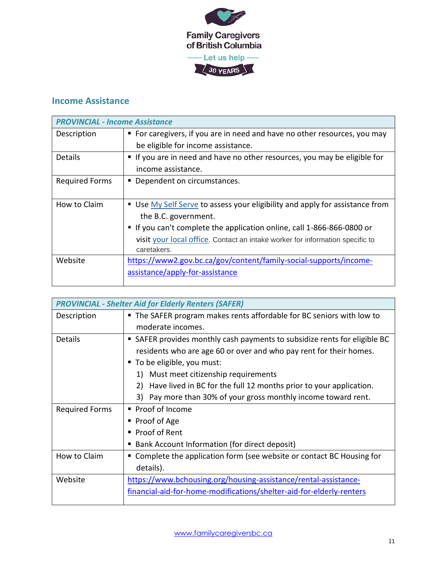

# <span id="page-10-0"></span>**Income Assistance**

| <b>PROVINCIAL - Income Assistance</b> |                                                                               |
|---------------------------------------|-------------------------------------------------------------------------------|
| Description                           | • For caregivers, if you are in need and have no other resources, you may     |
|                                       | be eligible for income assistance.                                            |
| <b>Details</b>                        | If you are in need and have no other resources, you may be eligible for       |
|                                       | income assistance.                                                            |
| <b>Required Forms</b>                 | Dependent on circumstances.                                                   |
|                                       |                                                                               |
| How to Claim                          | ■ Use My Self Serve to assess your eligibility and apply for assistance from  |
|                                       | the B.C. government.                                                          |
|                                       | If you can't complete the application online, call 1-866-866-0800 or          |
|                                       | visit your local office. Contact an intake worker for information specific to |
|                                       | caretakers.                                                                   |
| Website                               | https://www2.gov.bc.ca/gov/content/family-social-supports/income-             |
|                                       | assistance/apply-for-assistance                                               |
|                                       |                                                                               |

|                       | <b>PROVINCIAL - Shelter Aid for Elderly Renters (SAFER)</b>               |  |
|-----------------------|---------------------------------------------------------------------------|--|
| Description           | • The SAFER program makes rents affordable for BC seniors with low to     |  |
|                       | moderate incomes.                                                         |  |
| <b>Details</b>        | ■ SAFER provides monthly cash payments to subsidize rents for eligible BC |  |
|                       | residents who are age 60 or over and who pay rent for their homes.        |  |
|                       | ■ To be eligible, you must:                                               |  |
|                       | Must meet citizenship requirements<br>1)                                  |  |
|                       | 2) Have lived in BC for the full 12 months prior to your application.     |  |
|                       | Pay more than 30% of your gross monthly income toward rent.<br>3)         |  |
| <b>Required Forms</b> | ■ Proof of Income                                                         |  |
|                       | Proof of Age                                                              |  |
|                       | ■ Proof of Rent                                                           |  |
|                       | Bank Account Information (for direct deposit)                             |  |
| How to Claim          | Complete the application form (see website or contact BC Housing for      |  |
|                       | details).                                                                 |  |
| Website               | https://www.bchousing.org/housing-assistance/rental-assistance-           |  |
|                       | financial-aid-for-home-modifications/shelter-aid-for-elderly-renters      |  |
|                       |                                                                           |  |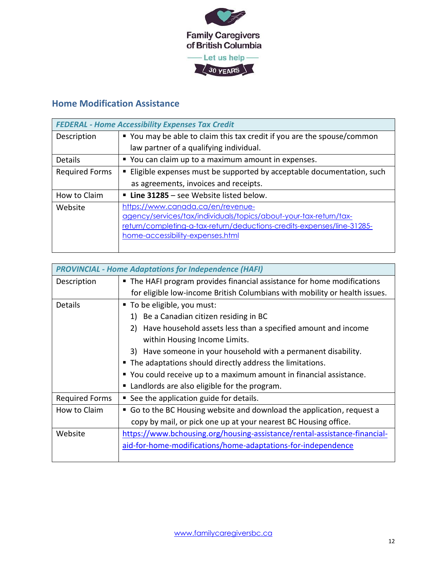

# <span id="page-11-0"></span>**Home Modification Assistance**

| <b>FEDERAL - Home Accessibility Expenses Tax Credit</b>                                                                                                                                                              |  |
|----------------------------------------------------------------------------------------------------------------------------------------------------------------------------------------------------------------------|--|
| ■ You may be able to claim this tax credit if you are the spouse/common                                                                                                                                              |  |
| law partner of a qualifying individual.                                                                                                                                                                              |  |
| " You can claim up to a maximum amount in expenses.                                                                                                                                                                  |  |
| ■ Eligible expenses must be supported by acceptable documentation, such                                                                                                                                              |  |
| as agreements, invoices and receipts.                                                                                                                                                                                |  |
| <b>Example 1285</b> – see Website listed below.                                                                                                                                                                      |  |
| https://www.canada.ca/en/revenue-<br>agency/services/tax/individuals/topics/about-your-tax-return/tax-<br>return/completing-a-tax-return/deductions-credits-expenses/line-31285-<br>home-accessibility-expenses.html |  |
|                                                                                                                                                                                                                      |  |

| <b>PROVINCIAL - Home Adaptations for Independence (HAFI)</b> |                                                                            |  |
|--------------------------------------------------------------|----------------------------------------------------------------------------|--|
| Description                                                  | The HAFI program provides financial assistance for home modifications      |  |
|                                                              | for eligible low-income British Columbians with mobility or health issues. |  |
| <b>Details</b>                                               | To be eligible, you must:                                                  |  |
|                                                              | Be a Canadian citizen residing in BC<br>1)                                 |  |
|                                                              | Have household assets less than a specified amount and income<br>2)        |  |
|                                                              | within Housing Income Limits.                                              |  |
|                                                              | 3) Have someone in your household with a permanent disability.             |  |
|                                                              | ■ The adaptations should directly address the limitations.                 |  |
|                                                              | ■ You could receive up to a maximum amount in financial assistance.        |  |
|                                                              | Landlords are also eligible for the program.                               |  |
| <b>Required Forms</b>                                        | See the application guide for details.                                     |  |
| How to Claim                                                 | Go to the BC Housing website and download the application, request a       |  |
|                                                              | copy by mail, or pick one up at your nearest BC Housing office.            |  |
| Website                                                      | https://www.bchousing.org/housing-assistance/rental-assistance-financial-  |  |
|                                                              | aid-for-home-modifications/home-adaptations-for-independence               |  |
|                                                              |                                                                            |  |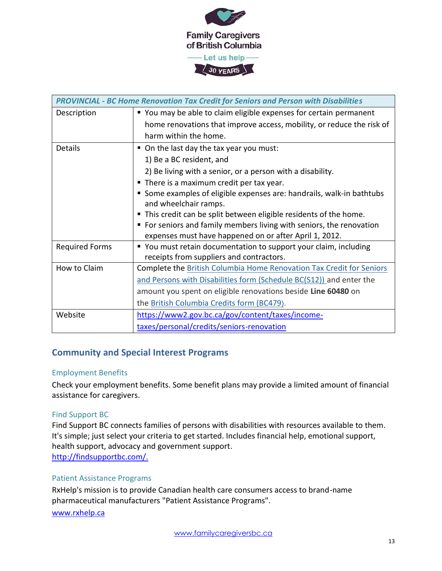

| <b>PROVINCIAL - BC Home Renovation Tax Credit for Seniors and Person with Disabilities</b> |                                                                       |  |
|--------------------------------------------------------------------------------------------|-----------------------------------------------------------------------|--|
| Description                                                                                | ■ You may be able to claim eligible expenses for certain permanent    |  |
|                                                                                            | home renovations that improve access, mobility, or reduce the risk of |  |
|                                                                                            | harm within the home.                                                 |  |
| <b>Details</b>                                                                             | • On the last day the tax year you must:                              |  |
|                                                                                            | 1) Be a BC resident, and                                              |  |
|                                                                                            | 2) Be living with a senior, or a person with a disability.            |  |
|                                                                                            | ■ There is a maximum credit per tax year.                             |  |
|                                                                                            | Some examples of eligible expenses are: handrails, walk-in bathtubs   |  |
|                                                                                            | and wheelchair ramps.                                                 |  |
|                                                                                            | ■ This credit can be split between eligible residents of the home.    |  |
|                                                                                            | • For seniors and family members living with seniors, the renovation  |  |
|                                                                                            | expenses must have happened on or after April 1, 2012.                |  |
| <b>Required Forms</b>                                                                      | " You must retain documentation to support your claim, including      |  |
|                                                                                            | receipts from suppliers and contractors.                              |  |
| How to Claim                                                                               | Complete the British Columbia Home Renovation Tax Credit for Seniors  |  |
|                                                                                            | and Persons with Disabilities form (Schedule BC(S12)) and enter the   |  |
|                                                                                            | amount you spent on eligible renovations beside Line 60480 on         |  |
|                                                                                            | the British Columbia Credits form (BC479).                            |  |
| Website                                                                                    | https://www2.gov.bc.ca/gov/content/taxes/income-                      |  |
|                                                                                            | taxes/personal/credits/seniors-renovation                             |  |

#### <span id="page-12-0"></span>**Community and Special Interest Programs**

#### Employment Benefits

Check your employment benefits. Some benefit plans may provide a limited amount of financial assistance for caregivers.

#### [Find Support](http://findsupportbc.com/) BC

Find Support BC connects families of persons with disabilities with resources available to them. It's simple; just select your criteria to get started. Includes financial help, emotional support, health support, advocacy and government support. [http://findsupportbc.com/.](http://findsupportbc.com/)

#### Patient Assistance Programs

RxHelp's mission is to provide Canadian health care consumers access to brand-name pharmaceutical manufacturers "Patient Assistance Programs".

[www.rxhelp.ca](http://www.rxhelp.ca/)